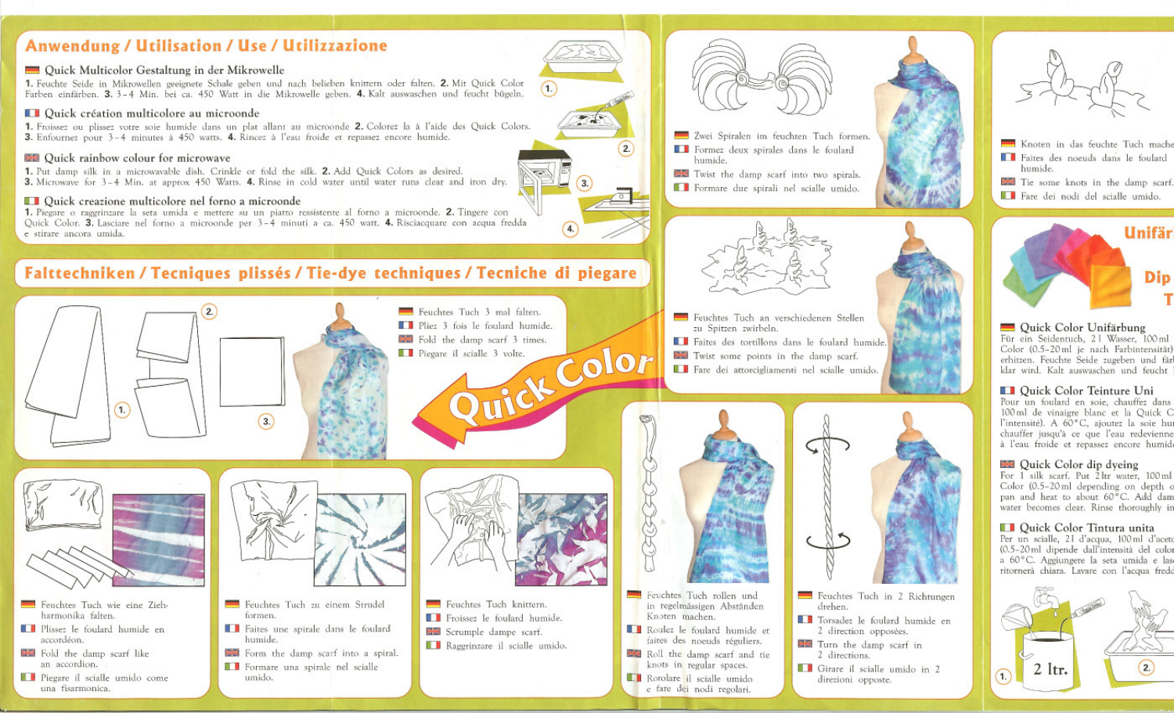### Anwendung / Utilisation / Use / Utilizzazione

#### Duick Multicolor Gestaltung in der Mikrowelle

1. Feuchte Seide in Mikrowellen geeignete Schale geben und nach belieben knittern oder falten. 2. Mit Quick Color Farben einfärben. 3. 3-4 Min. bei ca. 450 Watt in die Mikrowelle geben. 4. Kalt auswaschen und feucht bügeln.

### **DE Quick création multicolore au microonde**

1. Froissez ou plissez votre soie humide dans un plat allant au microonde 2. Colorez la à l'aide des Quick Colors. 3. Enfournez pour 3-4 minutes à 450 watts. 4. Rincez à l'eau froide et repassez encore humide.

### **EE** Quick rainbow colour for microwave

1. Put damp silk in a microwavable dish. Crinkle or fold the silk. 2. Add Quick Colors as desired. 3. Microwave for 3-4 Min. at approx 450 Watts. 4. Rinse in cold water until water runs clear and iron dry.

### **Dela** Quick creazione multicolore nel forno a microonde

1. Piegare o raggrinzare la seta umida e mettere su un piatto ressistente al forno a microonde. 2. Tingere con Quick Color. 3. Lasciare nel forno a microonde per 3-4 minuti a ca. 450 watt. 4. Risciacquare con acqua fredda e stirare ancora umida.

### Falttechniken / Tecniques plissés / Tie-dye techniques / Tecniche di piegare

 $\left( 2\right)$ Feuchtes Tuch 3 mal falten. Pliez 3 fois le foulard humide. Fold the damp scarf 3 times. Color Piegare il scialle 3 volte.  $\overline{1}$ . ∩



- Feuchtes Tuch wie eine Ziehharmonika falten.
- Plissez le foulard humide en accordéon.
- Fold the damp scarf like an accordion.
- **B** Piegare il scialle umido come una fisarmonica.



- Feuchtes Tuch zu einem Strudel formen.
- Faites une spirale dans le foulard humide.
- Form the damp scarf into a spiral. Formare una spirale nel scialle umido.



 $4<sub>1</sub>$ 

Feuchtes Tuch knittern. Froissez le foulard humide. Scrumple dampe scarf. Raggrinzare il scialle umido.



- in regelmässigen Abständen Knoten machen.
- Roulez le foulard humide et faites des noeuds réguliers.
- Roll the damp scarf and tie knots in regular spaces.
- Rotolare il scialle umido e fare dei nodi regolari.



- Twist the damp scarf into two spirals.
- Formare due spirali nel scialle umido.



- Feuchtes Tuch an verschiedenen Stellen zu Spitzen zwirbeln. **El Faites** des tortillons dans le foulard humide. Twist some points in the damp scarf.
- Fare dei attorcigliamenti nel scialle umido



2 directions.

direzioni opposte.

**Cirare** il scialle umido in 2





- Knoten in das feuchte Tuch mache Faites des noeuds dans le foulard humide. Tie some knots in the damp scarf.
- Fare dei nodi del scialle umido.



Quick Color Unifärbung Für ein Seidentuch, 21 Wasser, 100 ml Color (0.5-20 ml je nach Farbintensität) erhitzen. Feuchte Seide zugeben und fär klar wird. Kalt auswaschen und feucht

#### **De Duick Color Teinture Uni**

Pour un foulard en soie, chauffez dans 100 ml de vinaigre blanc et la Quick C l'intensité). A 60°C, ajoutez la soie hui chauffer jusqu'à ce que l'eau redevienne à l'eau froide et repassez encore humid

### **EE** Quick Color dip dyeing

For 1 silk scarf. Put 2 ltr water, 100 ml Color (0.5-20 ml depending on depth o pan and heat to about 60°C. Add dam water becomes clear. Rinse thoroughly in

#### **D** Quick Color Tintura unita

Per un scialle, 21 d'acqua, 100 ml d'aceto (0.5-20 ml dipende dall'intensità del color a 60°C. Aggiungere la seta umida e lasritornerà chiara. Lavare con l'acqua frede

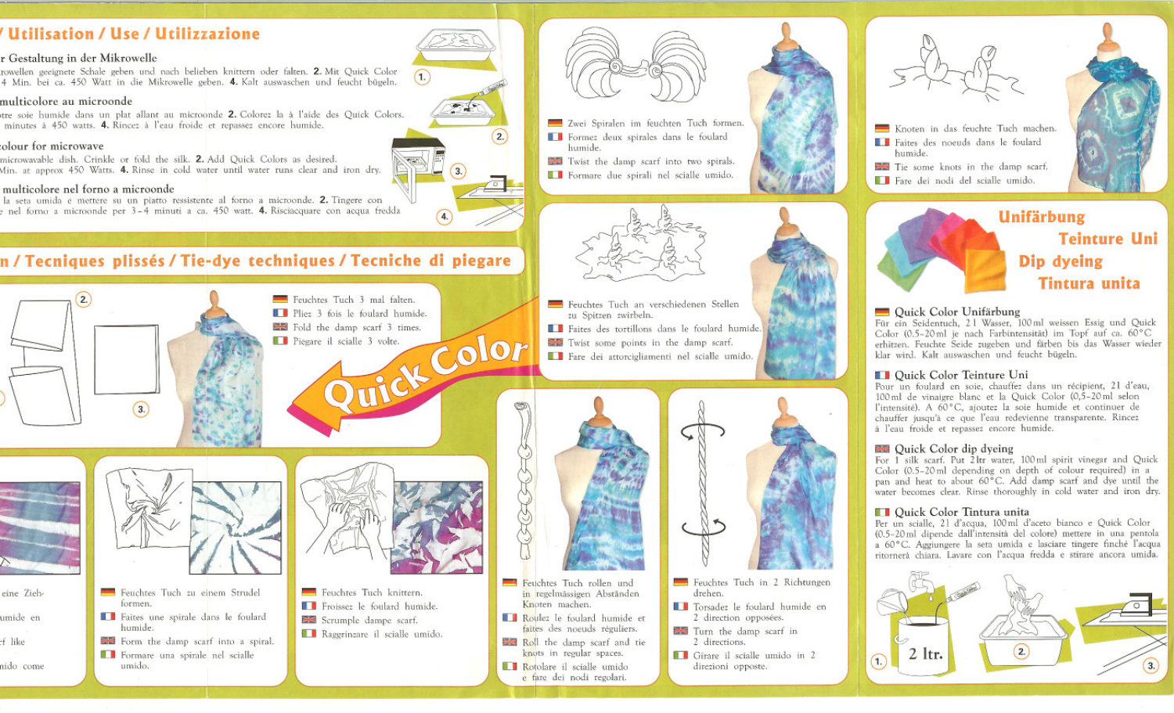### / Utilisation / Use / Utilizzazione

### r Gestaltung in der Mikrowelle

rowellen geeignete Schale geben und nach belieben knittern oder falten. 2. Mit Quick Color 4 Min. bei ca. 450 Watt in die Mikrowelle geben. 4. Kalt auswaschen und feucht bügeln.

### multicolore au microonde

stre soie humide dans un plat allant au microonde 2. Colorez la à l'aide des Quick Colors. minutes à 450 watts. 4. Rincez à l'eau froide et repassez encore humide.

### olour for microwave

microwayable dish. Crinkle or fold the silk. 2. Add Quick Colors as desired. Min. at approx 450 Watts. 4. Rinse in cold water until water runs clear and iron dry.

#### multicolore nel forno a microonde

la seta umida e mettere su un piatto ressistente al forno a microonde. 2. Tingere con e nel forno a microonde per 3-4 minuti a ca. 450 watt. 4. Risciacquare con acqua fredda

### n / Tecniques plissés / Tie-dye techniques / Tecniche di piegare





- Feuchtes Tuch in 2 Richtungen
	- **El Torsadez** le foulard humide en 2 direction opposées.
	- Turn the damp scarf in 2 directions.
	- **Cirare** il scialle umido in 2 direzioni opposte.



- Knoten in das feuchte Tuch machen. Faites des noeuds dans le foulard humide.
- Tie some knots in the damp scarf. Fare dei nodi del scialle umido.



### Ouick Color Unifärbung

Für ein Seidentuch, 21 Wasser, 100ml weissen Essig und Quick Color (0.5-20 ml je nach Farbintensität) im Topf auf ca. 60°C erhitzen. Feuchte Seide zugeben und färben bis das Wasser wieder klar wird. Kalt auswaschen und feucht bügeln.

### **DE Ouick Color Teinture Uni**

Pour un foulard en soie, chauffez dans un récipient, 21 d'eau, 100 ml de vinaigre blanc et la Quick Color (0,5-20 ml selon l'intensité). A 60°C, ajoutez la soie humide et continuer de chauffer jusqu'à ce que l'eau redevienne transparente. Rincez à l'eau froide et repassez encore humide.

### 图 Ouick Color dip dyeing

For 1 silk scarf. Put 2 ltr water, 100 ml spirit vinegar and Quick Color (0.5-20 ml depending on depth of colour required) in a pan and heat to about 60°C. Add damp scarf and dye until the water becomes clear. Rinse thoroughly in cold water and iron dry.

### **DE Ouick Color Tintura unita**

Per un scialle, 21 d'acqua, 100 ml d'aceto bianco e Quick Color (0.5-20 ml dipende dall'intensità del colore) mettere in una pentola a 60°C. Aggiungere la seta umida e lasciare tingere finché l'acqua ritornerà chiara. Lavare con l'acqua fredda e stirare ancora umida.

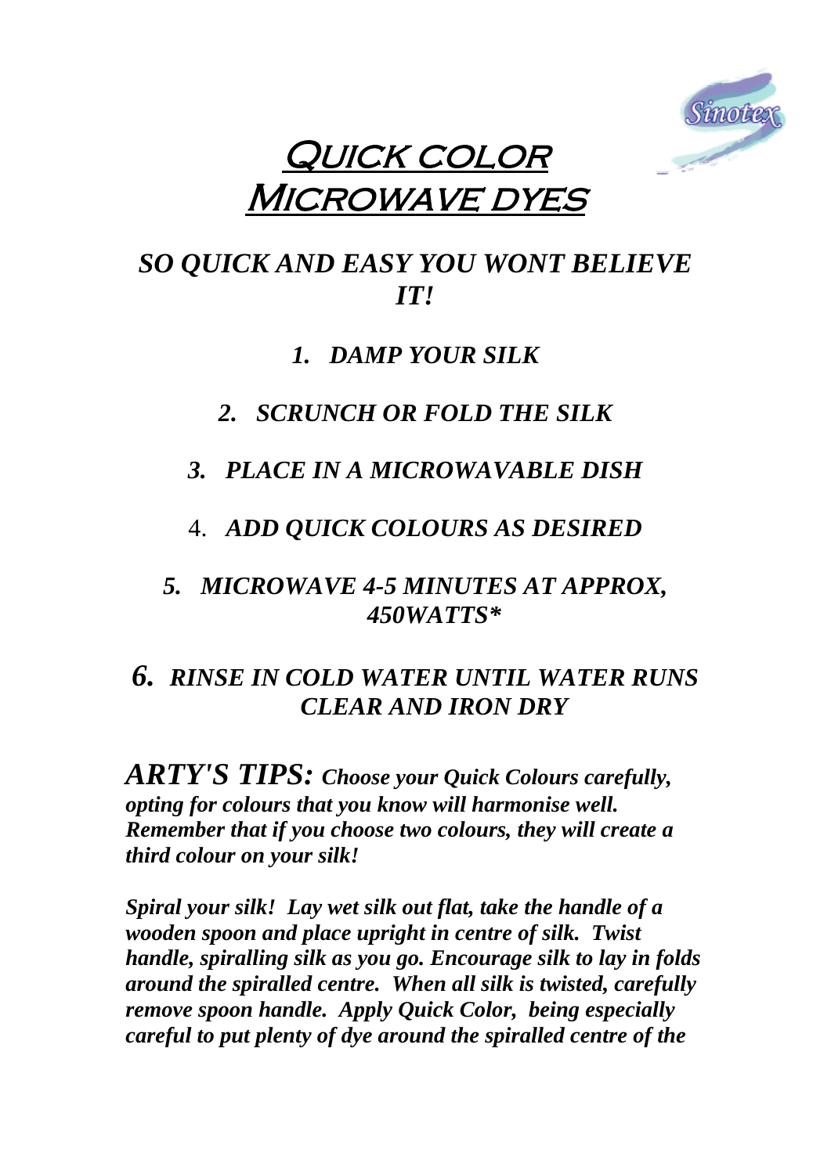

# QUICK COLOR **MICROWAVE DYES**

# *SO QUICK AND EASY YOU WONT BELIEVE IT!*

# *1. DAMP YOUR SILK*

# *2. SCRUNCH OR FOLD THE SILK*

# *3. PLACE IN A MICROWAVABLE DISH*

4. *ADD QUICK COLOURS AS DESIRED*

# *5. MICROWAVE 4-5 MINUTES AT APPROX, 450WATTS\**

# *6. RINSE IN COLD WATER UNTIL WATER RUNS CLEAR AND IRON DRY*

*ARTY'S TIPS: Choose your Quick Colours carefully, opting for colours that you know will harmonise well. Remember that if you choose two colours, they will create a third colour on your silk!* 

*Spiral your silk! Lay wet silk out flat, take the handle of a wooden spoon and place upright in centre of silk. Twist handle, spiralling silk as you go. Encourage silk to lay in folds around the spiralled centre. When all silk is twisted, carefully remove spoon handle. Apply Quick Color, being especially careful to put plenty of dye around the spiralled centre of the*